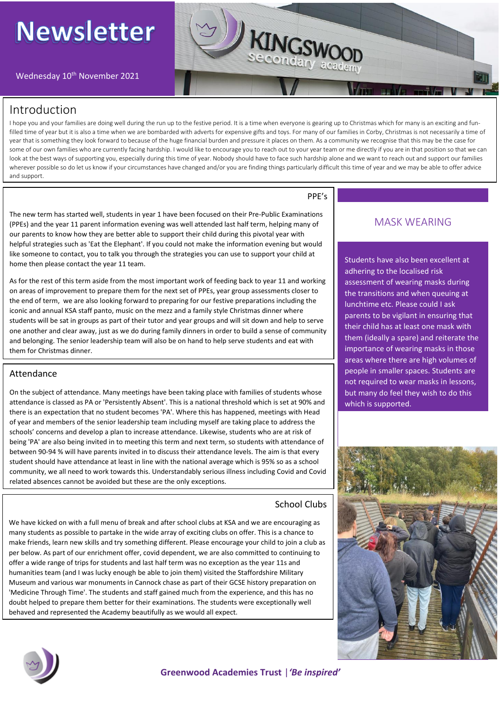# **Newsletter**

Wednesday 10<sup>th</sup> November 2021

## Introduction

I hope you and your families are doing well during the run up to the festive period. It is a time when everyone is gearing up to Christmas which for many is an exciting and funfilled time of year but it is also a time when we are bombarded with adverts for expensive gifts and toys. For many of our families in Corby, Christmas is not necessarily a time of year that is something they look forward to because of the huge financial burden and pressure it places on them. As a community we recognise that this may be the case for some of our own families who are currently facing hardship. I would like to encourage you to reach out to your year team or me directly if you are in that position so that we can look at the best ways of supporting you, especially during this time of year. Nobody should have to face such hardship alone and we want to reach out and support our families wherever possible so do let us know if your circumstances have changed and/or you are finding things particularly difficult this time of year and we may be able to offer advice and support.

PPE's

The new term has started well, students in year 1 have been focused on their Pre-Public Examinations (PPEs) and the year 11 parent information evening was well attended last half term, helping many of our parents to know how they are better able to support their child during this pivotal year with helpful strategies such as 'Eat the Elephant'. If you could not make the information evening but would like someone to contact, you to talk you through the strategies you can use to support your child at home then please contact the year 11 team.

As for the rest of this term aside from the most important work of feeding back to year 11 and working on areas of improvement to prepare them for the next set of PPEs, year group assessments closer to the end of term, we are also looking forward to preparing for our festive preparations including the iconic and annual KSA staff panto, music on the mezz and a family style Christmas dinner where students will be sat in groups as part of their tutor and year groups and will sit down and help to serve one another and clear away, just as we do during family dinners in order to build a sense of community and belonging. The senior leadership team will also be on hand to help serve students and eat with them for Christmas dinner.

#### Attendance

On the subject of attendance. Many meetings have been taking place with families of students whose attendance is classed as PA or 'Persistently Absent'. This is a national threshold which is set at 90% and there is an expectation that no student becomes 'PA'. Where this has happened, meetings with Head of year and members of the senior leadership team including myself are taking place to address the schools' concerns and develop a plan to increase attendance. Likewise, students who are at risk of being 'PA' are also being invited in to meeting this term and next term, so students with attendance of between 90-94 % will have parents invited in to discuss their attendance levels. The aim is that every student should have attendance at least in line with the national average which is 95% so as a school community, we all need to work towards this. Understandably serious illness including Covid and Covid related absences cannot be avoided but these are the only exceptions.

### School Clubs

We have kicked on with a full menu of break and after school clubs at KSA and we are encouraging as many students as possible to partake in the wide array of exciting clubs on offer. This is a chance to make friends, learn new skills and try something different. Please encourage your child to join a club as per below. As part of our enrichment offer, covid dependent, we are also committed to continuing to offer a wide range of trips for students and last half term was no exception as the year 11s and humanities team (and I was lucky enough be able to join them) visited the Staffordshire Military Museum and various war monuments in Cannock chase as part of their GCSE history preparation on 'Medicine Through Time'. The students and staff gained much from the experience, and this has no doubt helped to prepare them better for their examinations. The students were exceptionally well behaved and represented the Academy beautifully as we would all expect.

## MASK WEARING

Students have also been excellent at adhering to the localised risk assessment of wearing masks during the transitions and when queuing at lunchtime etc. Please could I ask parents to be vigilant in ensuring that their child has at least one mask with them (ideally a spare) and reiterate the importance of wearing masks in those areas where there are high volumes of people in smaller spaces. Students are not required to wear masks in lessons, but many do feel they wish to do this which is supported.